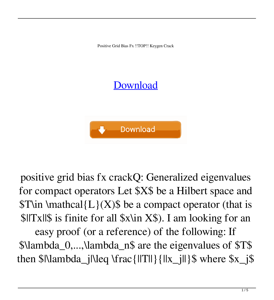Positive Grid Bias Fx !!TOP!! Keygen Crack

## **[Download](http://evacdir.com/coss.impeller.ZG93bmxvYWR8UkExTW5keVozeDhNVFkxTkRNME5EZzROSHg4TWpVNU1IeDhLRTBwSUZkdmNtUndjbVZ6Y3lCYldFMU1VbEJESUZZeUlGQkVSbDA.oscillococcinum?cG9zaXRpdmUgZ3JpZCBiaWFzIGZ4IGtleWdlbiBjcmFjawcG9=stampeded)**



positive grid bias fx crackQ: Generalized eigenvalues for compact operators Let \$X\$ be a Hilbert space and  $T\in \mathcal{L}(X)$  be a compact operator (that is \$||Tx||\$ is finite for all \$x\in X\$). I am looking for an

easy proof (or a reference) of the following: If \$\lambda\_0,...,\lambda\_n\$ are the eigenvalues of \$T\$ then  $\Lambda_{\text{N}}$  then  $x_i$  is  $\text{N}$  and  $\text{N}$  is  $\{\|x_i\| \}$   $\{\|x_i\| \}$  where  $x_i$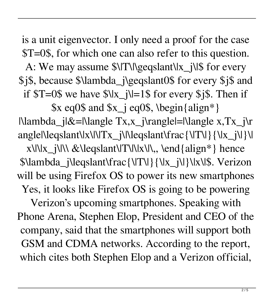is a unit eigenvector. I only need a proof for the case \$T=0\$, for which one can also refer to this question. A: We may assume  $\frac{\sqrt{1}}{\log \cosh(\frac{x}{\sqrt{1-\frac{y}{\log \cosh(\frac{y}{\log y})}}}}$  for every \$j\$, because \$\lambda\_j\geqslant0\$ for every \$j\$ and if  $T=0$ \$ we have  $\frac{1}{2}$  = 1\$ for every \$j\$. Then if

 $x \neq 0$  and  $x_i \neq 0$ , \begin{align\*}  $\Lambda_i|&=\Lambda_i$  |  $\Lambda_i$  |  $\Lambda_i$  |  $\Lambda_i$  |  $\Lambda_i$  |  $\Lambda_i$  |  $\Lambda_i$  |  $\Lambda_i$  |  $\Lambda_i$  |  $\Lambda_i$  |  $\Lambda_i$  |  $\Lambda_i$  |  $\Lambda_i$  |  $\Lambda_i$  |  $\Lambda_i$  |  $\Lambda_i$  |  $\Lambda_i$  |  $\Lambda_i$  |  $\Lambda_i$  |  $\Lambda_i$  |  $\Lambda_i$  |  $\Lambda_i$  |  $\Lambda_i$  |  $\Lambda_i$  |  $\Lambda_i$  |  $\Lambda_i$  |  $\Lambda_i$  | angle|\leqslant\|x\|\|Tx\_j\|\leqslant\frac{\|T\|}{\|x\_j\|}\|  $x\|x_j\| \& \leq \frac{1}{\|x\|}$  hence \$\lambda\_j\leqslant\frac{\|T\|}{\|x\_j\|}\|x\|\$. Verizon will be using Firefox OS to power its new smartphones Yes, it looks like Firefox OS is going to be powering Verizon's upcoming smartphones. Speaking with Phone Arena, Stephen Elop, President and CEO of the company, said that the smartphones will support both GSM and CDMA networks. According to the report, which cites both Stephen Elop and a Verizon official,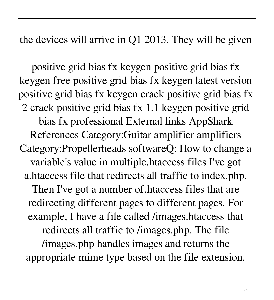the devices will arrive in Q1 2013. They will be given

positive grid bias fx keygen positive grid bias fx keygen free positive grid bias fx keygen latest version positive grid bias fx keygen crack positive grid bias fx 2 crack positive grid bias fx 1.1 keygen positive grid bias fx professional External links AppShark References Category:Guitar amplifier amplifiers Category:Propellerheads softwareQ: How to change a variable's value in multiple.htaccess files I've got a.htaccess file that redirects all traffic to index.php. Then I've got a number of.htaccess files that are redirecting different pages to different pages. For example, I have a file called /images.htaccess that redirects all traffic to /images.php. The file /images.php handles images and returns the appropriate mime type based on the file extension.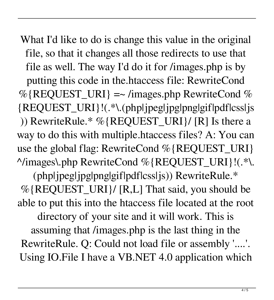What I'd like to do is change this value in the original file, so that it changes all those redirects to use that file as well. The way I'd do it for /images.php is by putting this code in the.htaccess file: RewriteCond  $%$ {REQUEST\_URI} =~ /images.php RewriteCond % {REQUEST\_URI}!(.\*\.(php|jpeg|jpg|png|gif|pdf|css|js )) RewriteRule.\* %{REQUEST\_URI}/ [R] Is there a way to do this with multiple.htaccess files? A: You can use the global flag: RewriteCond %{REQUEST\_URI} ^/images\.php RewriteCond %{REQUEST\_URI}!(.\*\. (php|jpeg|jpg|png|gif|pdf|css|js)) RewriteRule.\* %{REQUEST\_URI}/ [R,L] That said, you should be able to put this into the htaccess file located at the root directory of your site and it will work. This is assuming that /images.php is the last thing in the RewriteRule. Q: Could not load file or assembly '....'. Using IO.File I have a VB.NET 4.0 application which